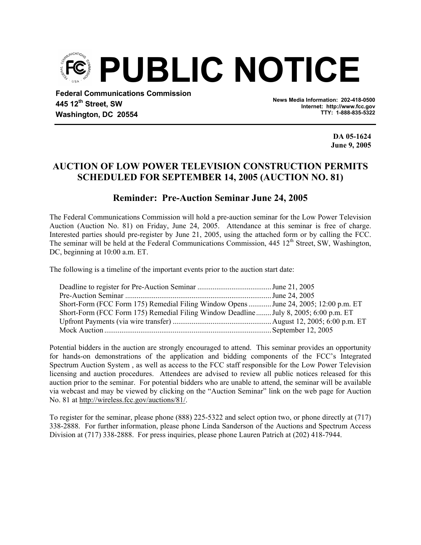

**445 12th Street, SW Washington, DC 20554** 

**News Media Information: 202-418-0500 Internet: http://www.fcc.gov TTY: 1-888-835-5322**

> **DA 05-1624 June 9, 2005**

## **AUCTION OF LOW POWER TELEVISION CONSTRUCTION PERMITS SCHEDULED FOR SEPTEMBER 14, 2005 (AUCTION NO. 81)**

## **Reminder: Pre-Auction Seminar June 24, 2005**

The Federal Communications Commission will hold a pre-auction seminar for the Low Power Television Auction (Auction No. 81) on Friday, June 24, 2005. Attendance at this seminar is free of charge. Interested parties should pre-register by June 21, 2005, using the attached form or by calling the FCC. The seminar will be held at the Federal Communications Commission,  $445 \frac{12^{th}}{12^{th}}$  Street, SW, Washington, DC, beginning at  $10:00$  a.m. ET.

The following is a timeline of the important events prior to the auction start date:

| Short-Form (FCC Form 175) Remedial Filing Window Opens  June 24, 2005; 12:00 p.m. ET |  |
|--------------------------------------------------------------------------------------|--|
| Short-Form (FCC Form 175) Remedial Filing Window Deadline July 8, 2005; 6:00 p.m. ET |  |
|                                                                                      |  |
|                                                                                      |  |

Potential bidders in the auction are strongly encouraged to attend. This seminar provides an opportunity for hands-on demonstrations of the application and bidding components of the FCC's Integrated Spectrum Auction System , as well as access to the FCC staff responsible for the Low Power Television licensing and auction procedures. Attendees are advised to review all public notices released for this auction prior to the seminar. For potential bidders who are unable to attend, the seminar will be available via webcast and may be viewed by clicking on the "Auction Seminar" link on the web page for Auction No. 81 at http://wireless.fcc.gov/auctions/81/.

To register for the seminar, please phone (888) 225-5322 and select option two, or phone directly at (717) 338-2888. For further information, please phone Linda Sanderson of the Auctions and Spectrum Access Division at (717) 338-2888. For press inquiries, please phone Lauren Patrich at (202) 418-7944.